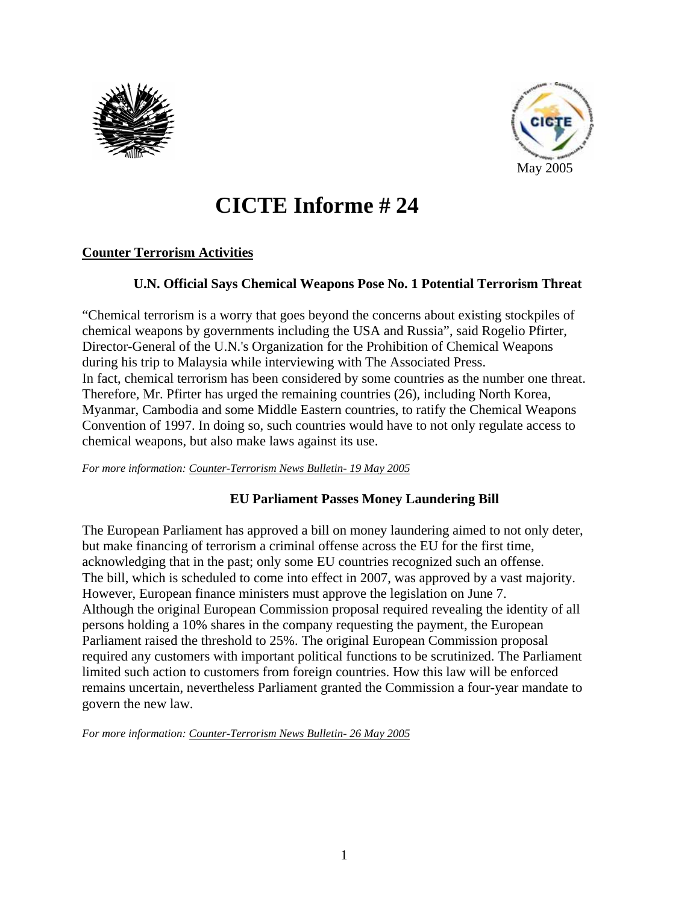



# **CICTE Informe # 24**

# **Counter Terrorism Activities**

## **U.N. Official Says Chemical Weapons Pose No. 1 Potential Terrorism Threat**

"Chemical terrorism is a worry that goes beyond the concerns about existing stockpiles of chemical weapons by governments including the USA and Russia", said Rogelio Pfirter, Director-General of the U.N.'s Organization for the Prohibition of Chemical Weapons during his trip to Malaysia while interviewing with The Associated Press. In fact, chemical terrorism has been considered by some countries as the number one threat. Therefore, Mr. Pfirter has urged the remaining countries (26), including North Korea, Myanmar, Cambodia and some Middle Eastern countries, to ratify the Chemical Weapons Convention of 1997. In doing so, such countries would have to not only regulate access to chemical weapons, but also make laws against its use.

*For more information: Counter-Terrorism News Bulletin- 19 May 2005*

# **EU Parliament Passes Money Laundering Bill**

The European Parliament has approved a bill on money laundering aimed to not only deter, but make financing of terrorism a criminal offense across the EU for the first time, acknowledging that in the past; only some EU countries recognized such an offense. The bill, which is scheduled to come into effect in 2007, was approved by a vast majority. However, European finance ministers must approve the legislation on June 7. Although the original European Commission proposal required revealing the identity of all persons holding a 10% shares in the company requesting the payment, the European Parliament raised the threshold to 25%. The original European Commission proposal required any customers with important political functions to be scrutinized. The Parliament limited such action to customers from foreign countries. How this law will be enforced remains uncertain, nevertheless Parliament granted the Commission a four-year mandate to govern the new law.

*For more information: Counter-Terrorism News Bulletin- 26 May 2005*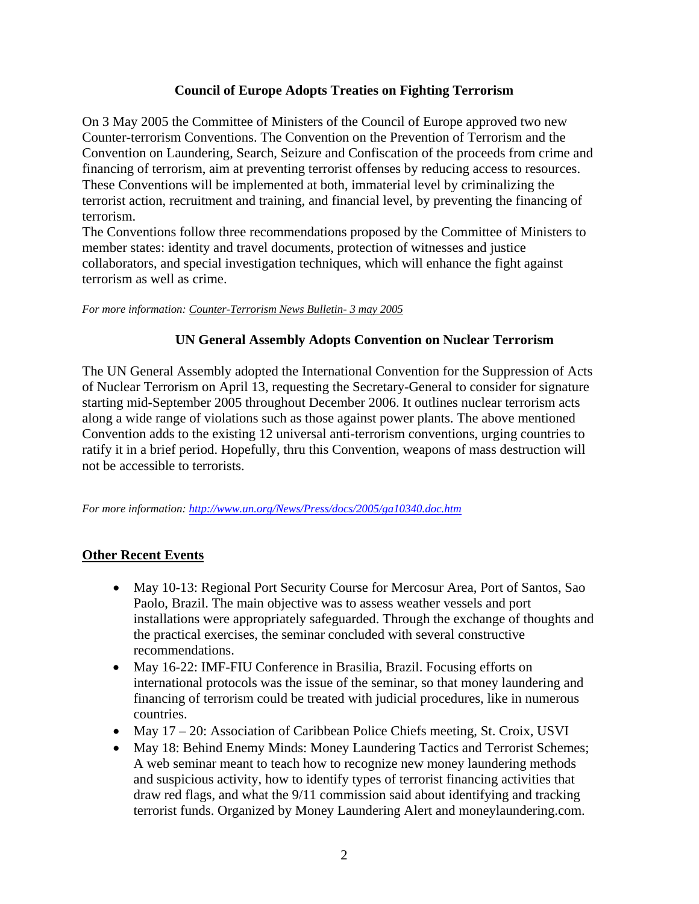## **Council of Europe Adopts Treaties on Fighting Terrorism**

On 3 May 2005 the Committee of Ministers of the Council of Europe approved two new Counter-terrorism Conventions. The Convention on the Prevention of Terrorism and the Convention on Laundering, Search, Seizure and Confiscation of the proceeds from crime and financing of terrorism, aim at preventing terrorist offenses by reducing access to resources. These Conventions will be implemented at both, immaterial level by criminalizing the terrorist action, recruitment and training, and financial level, by preventing the financing of terrorism.

The Conventions follow three recommendations proposed by the Committee of Ministers to member states: identity and travel documents, protection of witnesses and justice collaborators, and special investigation techniques, which will enhance the fight against terrorism as well as crime.

*For more information: Counter-Terrorism News Bulletin- 3 may 2005*

#### **UN General Assembly Adopts Convention on Nuclear Terrorism**

The UN General Assembly adopted the International Convention for the Suppression of Acts of Nuclear Terrorism on April 13, requesting the Secretary-General to consider for signature starting mid-September 2005 throughout December 2006. It outlines nuclear terrorism acts along a wide range of violations such as those against power plants. The above mentioned Convention adds to the existing 12 universal anti-terrorism conventions, urging countries to ratify it in a brief period. Hopefully, thru this Convention, weapons of mass destruction will not be accessible to terrorists.

*For more information: http://www.un.org/News/Press/docs/2005/ga10340.doc.htm*

#### **Other Recent Events**

- May 10-13: Regional Port Security Course for Mercosur Area, Port of Santos, Sao Paolo, Brazil. The main objective was to assess weather vessels and port installations were appropriately safeguarded. Through the exchange of thoughts and the practical exercises, the seminar concluded with several constructive recommendations.
- May 16-22: IMF-FIU Conference in Brasilia, Brazil. Focusing efforts on international protocols was the issue of the seminar, so that money laundering and financing of terrorism could be treated with judicial procedures, like in numerous countries.
- May 17 20: Association of Caribbean Police Chiefs meeting, St. Croix, USVI
- May 18: Behind Enemy Minds: Money Laundering Tactics and Terrorist Schemes; A web seminar meant to teach how to recognize new money laundering methods and suspicious activity, how to identify types of terrorist financing activities that draw red flags, and what the 9/11 commission said about identifying and tracking terrorist funds. Organized by Money Laundering Alert and moneylaundering.com.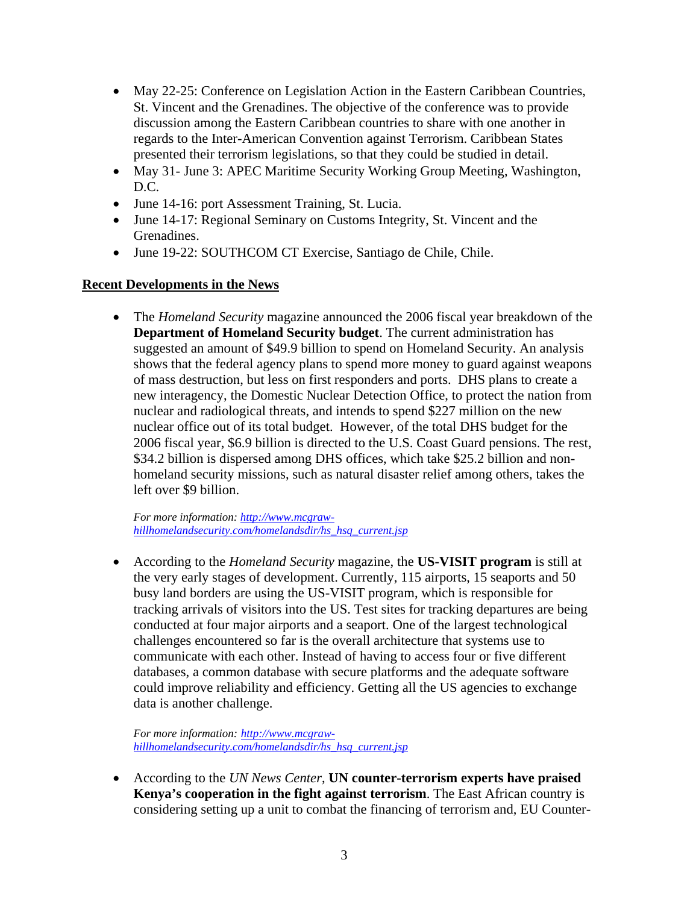- May 22-25: Conference on Legislation Action in the Eastern Caribbean Countries, St. Vincent and the Grenadines. The objective of the conference was to provide discussion among the Eastern Caribbean countries to share with one another in regards to the Inter-American Convention against Terrorism. Caribbean States presented their terrorism legislations, so that they could be studied in detail.
- May 31- June 3: APEC Maritime Security Working Group Meeting, Washington, D.C.
- June 14-16: port Assessment Training, St. Lucia.
- June 14-17: Regional Seminary on Customs Integrity, St. Vincent and the Grenadines.
- June 19-22: SOUTHCOM CT Exercise, Santiago de Chile, Chile.

## **Recent Developments in the News**

• The *Homeland Security* magazine announced the 2006 fiscal year breakdown of the **Department of Homeland Security budget**. The current administration has suggested an amount of \$49.9 billion to spend on Homeland Security. An analysis shows that the federal agency plans to spend more money to guard against weapons of mass destruction, but less on first responders and ports. DHS plans to create a new interagency, the Domestic Nuclear Detection Office, to protect the nation from nuclear and radiological threats, and intends to spend \$227 million on the new nuclear office out of its total budget. However, of the total DHS budget for the 2006 fiscal year, \$6.9 billion is directed to the U.S. Coast Guard pensions. The rest, \$34.2 billion is dispersed among DHS offices, which take \$25.2 billion and nonhomeland security missions, such as natural disaster relief among others, takes the left over \$9 billion.

*For more information: http://www.mcgrawhillhomelandsecurity.com/homelandsdir/hs\_hsq\_current.jsp*

• According to the *Homeland Security* magazine, the **US-VISIT program** is still at the very early stages of development. Currently, 115 airports, 15 seaports and 50 busy land borders are using the US-VISIT program, which is responsible for tracking arrivals of visitors into the US. Test sites for tracking departures are being conducted at four major airports and a seaport. One of the largest technological challenges encountered so far is the overall architecture that systems use to communicate with each other. Instead of having to access four or five different databases, a common database with secure platforms and the adequate software could improve reliability and efficiency. Getting all the US agencies to exchange data is another challenge.

*For more information: http://www.mcgrawhillhomelandsecurity.com/homelandsdir/hs\_hsq\_current.jsp*

• According to the *UN News Center*, **UN counter-terrorism experts have praised Kenya's cooperation in the fight against terrorism**. The East African country is considering setting up a unit to combat the financing of terrorism and, EU Counter